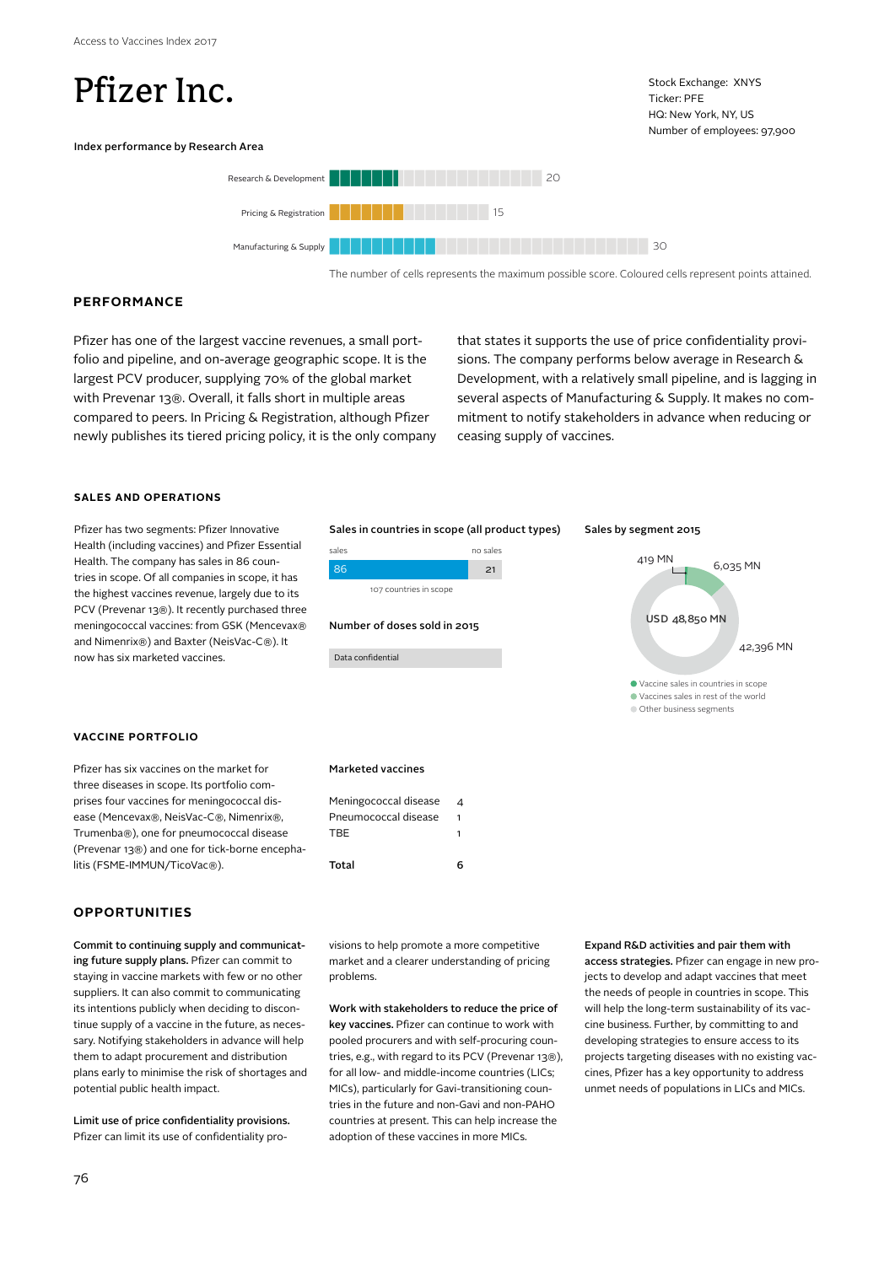# Pfizer Inc.

Stock Exchange: XNYS Ticker: PFE HQ: New York, NY, US Number of employees: 97,900

# Index performance by Research Area



The number of cells represents the maximum possible score. Coloured cells represent points attained.

# **PERFORMANCE**

Pfizer has one of the largest vaccine revenues, a small portfolio and pipeline, and on-average geographic scope. It is the largest PCV producer, supplying 70% of the global market with Prevenar 13®. Overall, it falls short in multiple areas compared to peers. In Pricing & Registration, although Pfizer newly publishes its tiered pricing policy, it is the only company that states it supports the use of price confidentiality provisions. The company performs below average in Research & Development, with a relatively small pipeline, and is lagging in several aspects of Manufacturing & Supply. It makes no commitment to notify stakeholders in advance when reducing or ceasing supply of vaccines.

# **SALES AND OPERATIONS**

Pfizer has two segments: Pfizer Innovative Health (including vaccines) and Pfizer Essential Health. The company has sales in 86 countries in scope. Of all companies in scope, it has the highest vaccines revenue, largely due to its PCV (Prevenar 13®). It recently purchased three meningococcal vaccines: from GSK (Mencevax® and Nimenrix®) and Baxter (NeisVac-C®). It now has six marketed vaccines.

# **VACCINE PORTFOLIO**

Pfizer has six vaccines on the market for three diseases in scope. Its portfolio comprises four vaccines for meningococcal disease (Mencevax®, NeisVac-C®, Nimenrix®, Trumenba®), one for pneumococcal disease (Prevenar 13®) and one for tick-borne encephalitis (FSME-IMMUN/TicoVac®).

# **OPPORTUNITIES**

Commit to continuing supply and communicating future supply plans. Pfizer can commit to staying in vaccine markets with few or no other suppliers. It can also commit to communicating its intentions publicly when deciding to discontinue supply of a vaccine in the future, as necessary. Notifying stakeholders in advance will help them to adapt procurement and distribution plans early to minimise the risk of shortages and potential public health impact.

Limit use of price confidentiality provisions. Pfizer can limit its use of confidentiality pro-

### Sales in countries in scope (all product types)



### Number of doses sold in 2015

Data confidential

Marketed vaccines

**TBF** 

Meningococcal disease 4 Pneumococcal disease 1

Total 6

#### Sales by segment 2015



visions to help promote a more competitive market and a clearer understanding of pricing problems.

Work with stakeholders to reduce the price of key vaccines. Pfizer can continue to work with pooled procurers and with self-procuring countries, e.g., with regard to its PCV (Prevenar 13®), for all low- and middle-income countries (LICs; MICs), particularly for Gavi-transitioning countries in the future and non-Gavi and non-PAHO countries at present. This can help increase the adoption of these vaccines in more MICs.

Expand R&D activities and pair them with access strategies. Pfizer can engage in new projects to develop and adapt vaccines that meet the needs of people in countries in scope. This will help the long-term sustainability of its vaccine business. Further, by committing to and developing strategies to ensure access to its projects targeting diseases with no existing vaccines, Pfizer has a key opportunity to address unmet needs of populations in LICs and MICs.